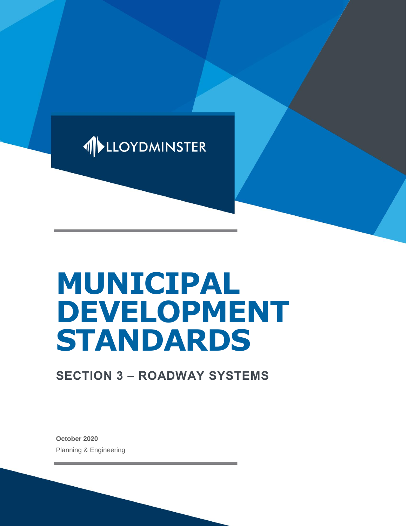

# **MUNICIPAL DEVELOPMENT STANDARDS**

## **SECTION 3 – ROADWAY SYSTEMS**

**October 2020** Planning & Engineering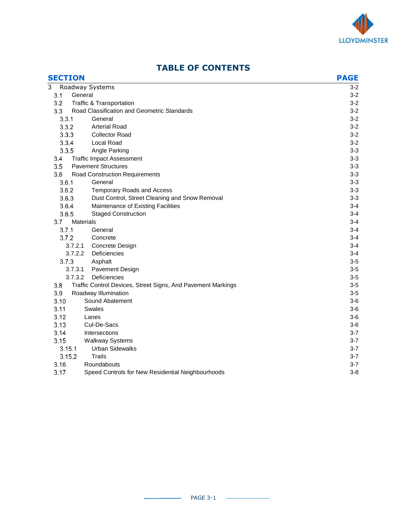

#### **SECTION PAGE** 3 Roadway Systems 3-2  $3.1$ General 3-2  $3.2$ Traffic & Transportation 3-2 3.3 Road Classification and Geometric Standards 3-2  $3.3.1$ General 3-2  $3.3.2$ Arterial Road 3-2 Collector Road 3-2  $3.3.3$  $3.3.4$ Local Road 3-2 3.3.5 Angle Parking 3-3  $3.4$ **Traffic Impact Assessment** 3-3 3.5 Pavement Structures 3-3  $3.6$ Road Construction Requirements 3-3  $3.6.1$ General 3-3  $3.6.2$ Temporary Roads and Access 3-3  $3.6.3$ Dust Control, Street Cleaning and Snow Removal 3-3  $3.6.4$ Maintenance of Existing Facilities 3-4  $3.6.5$ Staged Construction 3-4 Materials 3-4  $3.7.1$ General 3-4  $3.7.2$ Concrete 3-4 3.7.2.1 Concrete Design 3-4 3.7.2.2 Deficiencies 3-4  $3.7.3$ Asphalt 3-5 3.7.3.1 Pavement Design 3-5 3.7.3.2 Deficiencies 3-5  $3.8$ Traffic Control Devices, Street Signs, And Pavement Markings 3-5 3.9 Roadway Illumination 3-5  $3.10$ Sound Abatement 3-6  $3.11$ Swales 3-6  $3.12$ Lanes 3-6  $3.13$ Cul-De-Sacs 3-6  $3.14$ **Intersections** 3-7  $3.15$ Walkway Systems 3-7  $3.15.1$ Urban Sidewalks 3-7  $3.15.2$ Trails 3-7 Roundabouts 3-7  $3.16$  $3.17$ Speed Controls for New Residential Neighbourhoods 3-8

### **TABLE OF CONTENTS**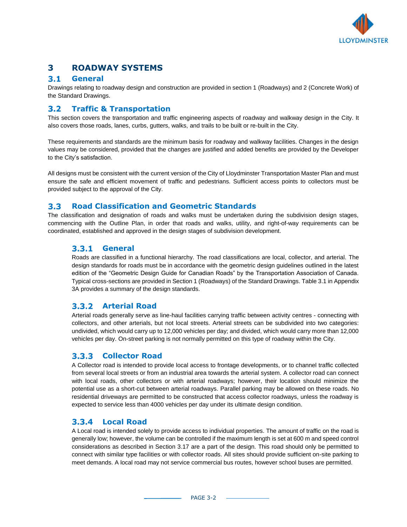

### **3 ROADWAY SYSTEMS**

#### $3.1$ **General**

Drawings relating to roadway design and construction are provided in section 1 (Roadways) and 2 (Concrete Work) of the Standard Drawings.

#### $3.2<sub>2</sub>$ **Traffic & Transportation**

This section covers the transportation and traffic engineering aspects of roadway and walkway design in the City. It also covers those roads, lanes, curbs, gutters, walks, and trails to be built or re-built in the City.

These requirements and standards are the minimum basis for roadway and walkway facilities. Changes in the design values may be considered, provided that the changes are justified and added benefits are provided by the Developer to the City's satisfaction.

All designs must be consistent with the current version of the City of Lloydminster Transportation Master Plan and must ensure the safe and efficient movement of traffic and pedestrians. Sufficient access points to collectors must be provided subject to the approval of the City.

#### $3.3<sub>1</sub>$ **Road Classification and Geometric Standards**

The classification and designation of roads and walks must be undertaken during the subdivision design stages, commencing with the Outline Plan, in order that roads and walks, utility, and right-of-way requirements can be coordinated, established and approved in the design stages of subdivision development.

#### $3.3.1$ **General**

Roads are classified in a functional hierarchy. The road classifications are local, collector, and arterial. The design standards for roads must be in accordance with the geometric design guidelines outlined in the latest edition of the "Geometric Design Guide for Canadian Roads" by the Transportation Association of Canada. Typical cross-sections are provided in Section 1 (Roadways) of the Standard Drawings. Table 3.1 in Appendix 3A provides a summary of the design standards.

#### $3.3.2$ **Arterial Road**

Arterial roads generally serve as line-haul facilities carrying traffic between activity centres - connecting with collectors, and other arterials, but not local streets. Arterial streets can be subdivided into two categories: undivided, which would carry up to 12,000 vehicles per day; and divided, which would carry more than 12,000 vehicles per day. On-street parking is not normally permitted on this type of roadway within the City.

#### $3.3.3$ **Collector Road**

A Collector road is intended to provide local access to frontage developments, or to channel traffic collected from several local streets or from an industrial area towards the arterial system. A collector road can connect with local roads, other collectors or with arterial roadways; however, their location should minimize the potential use as a short-cut between arterial roadways. Parallel parking may be allowed on these roads. No residential driveways are permitted to be constructed that access collector roadways, unless the roadway is expected to service less than 4000 vehicles per day under its ultimate design condition.

#### $3.3.4$ **Local Road**

A Local road is intended solely to provide access to individual properties. The amount of traffic on the road is generally low; however, the volume can be controlled if the maximum length is set at 600 m and speed control considerations as described in Section 3.17 are a part of the design. This road should only be permitted to connect with similar type facilities or with collector roads. All sites should provide sufficient on-site parking to meet demands. A local road may not service commercial bus routes, however school buses are permitted.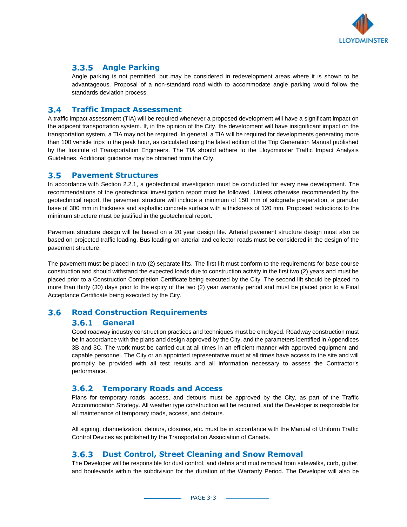

#### $3.3.5$ **Angle Parking**

Angle parking is not permitted, but may be considered in redevelopment areas where it is shown to be advantageous. Proposal of a non-standard road width to accommodate angle parking would follow the standards deviation process.

#### $3.4$ **Traffic Impact Assessment**

A traffic impact assessment (TIA) will be required whenever a proposed development will have a significant impact on the adjacent transportation system. If, in the opinion of the City, the development will have insignificant impact on the transportation system, a TIA may not be required. In general, a TIA will be required for developments generating more than 100 vehicle trips in the peak hour, as calculated using the latest edition of the Trip Generation Manual published by the Institute of Transportation Engineers. The TIA should adhere to the Lloydminster Traffic Impact Analysis Guidelines. Additional guidance may be obtained from the City.

#### $3.5$ **Pavement Structures**

In accordance with Section 2.2.1, a geotechnical investigation must be conducted for every new development. The recommendations of the geotechnical investigation report must be followed. Unless otherwise recommended by the geotechnical report, the pavement structure will include a minimum of 150 mm of subgrade preparation, a granular base of 300 mm in thickness and asphaltic concrete surface with a thickness of 120 mm. Proposed reductions to the minimum structure must be justified in the geotechnical report.

Pavement structure design will be based on a 20 year design life. Arterial pavement structure design must also be based on projected traffic loading. Bus loading on arterial and collector roads must be considered in the design of the pavement structure.

The pavement must be placed in two (2) separate lifts. The first lift must conform to the requirements for base course construction and should withstand the expected loads due to construction activity in the first two (2) years and must be placed prior to a Construction Completion Certificate being executed by the City. The second lift should be placed no more than thirty (30) days prior to the expiry of the two (2) year warranty period and must be placed prior to a Final Acceptance Certificate being executed by the City.

#### $3.6$ **Road Construction Requirements**

#### $3.6.1$ **General**

Good roadway industry construction practices and techniques must be employed. Roadway construction must be in accordance with the plans and design approved by the City, and the parameters identified in Appendices 3B and 3C. The work must be carried out at all times in an efficient manner with approved equipment and capable personnel. The City or an appointed representative must at all times have access to the site and will promptly be provided with all test results and all information necessary to assess the Contractor's performance.

#### $3.6.2$ **Temporary Roads and Access**

Plans for temporary roads, access, and detours must be approved by the City, as part of the Traffic Accommodation Strategy. All weather type construction will be required, and the Developer is responsible for all maintenance of temporary roads, access, and detours.

All signing, channelization, detours, closures, etc. must be in accordance with the Manual of Uniform Traffic Control Devices as published by the Transportation Association of Canada.

#### **Dust Control, Street Cleaning and Snow Removal**  $3.6.3$

The Developer will be responsible for dust control, and debris and mud removal from sidewalks, curb, gutter, and boulevards within the subdivision for the duration of the Warranty Period. The Developer will also be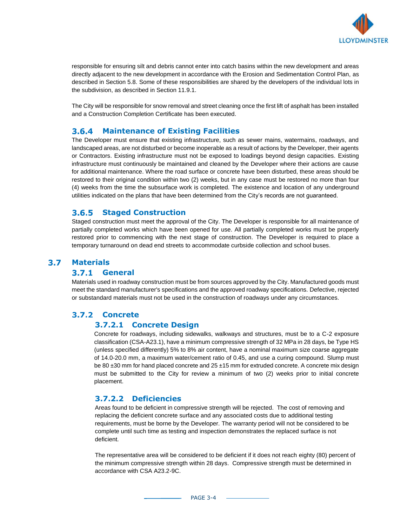

responsible for ensuring silt and debris cannot enter into catch basins within the new development and areas directly adjacent to the new development in accordance with the Erosion and Sedimentation Control Plan, as described in Section 5.8. Some of these responsibilities are shared by the developers of the individual lots in the subdivision, as described in Section 11.9.1.

The City will be responsible for snow removal and street cleaning once the first lift of asphalt has been installed and a Construction Completion Certificate has been executed.

#### $3.6.4$ **Maintenance of Existing Facilities**

The Developer must ensure that existing infrastructure, such as sewer mains, watermains, roadways, and landscaped areas, are not disturbed or become inoperable as a result of actions by the Developer, their agents or Contractors. Existing infrastructure must not be exposed to loadings beyond design capacities. Existing infrastructure must continuously be maintained and cleaned by the Developer where their actions are cause for additional maintenance. Where the road surface or concrete have been disturbed, these areas should be restored to their original condition within two (2) weeks, but in any case must be restored no more than four (4) weeks from the time the subsurface work is completed. The existence and location of any underground utilities indicated on the plans that have been determined from the City's records are not guaranteed.

#### $3.6.5$ **Staged Construction**

Staged construction must meet the approval of the City. The Developer is responsible for all maintenance of partially completed works which have been opened for use. All partially completed works must be properly restored prior to commencing with the next stage of construction. The Developer is required to place a temporary turnaround on dead end streets to accommodate curbside collection and school buses.

#### $3.7<sub>2</sub>$ **Materials**

#### **General**

Materials used in roadway construction must be from sources approved by the City. Manufactured goods must meet the standard manufacturer's specifications and the approved roadway specifications. Defective, rejected or substandard materials must not be used in the construction of roadways under any circumstances.

### **Concrete**

#### **3.7.2.1 Concrete Design**

Concrete for roadways, including sidewalks, walkways and structures, must be to a C-2 exposure classification (CSA-A23.1), have a minimum compressive strength of 32 MPa in 28 days, be Type HS (unless specified differently) 5% to 8% air content, have a nominal maximum size coarse aggregate of 14.0-20.0 mm, a maximum water/cement ratio of 0.45, and use a curing compound. Slump must be 80 $\pm$ 30 mm for hand placed concrete and 25 $\pm$ 15 mm for extruded concrete. A concrete mix design must be submitted to the City for review a minimum of two (2) weeks prior to initial concrete placement.

#### **3.7.2.2 Deficiencies**

Areas found to be deficient in compressive strength will be rejected. The cost of removing and replacing the deficient concrete surface and any associated costs due to additional testing requirements, must be borne by the Developer. The warranty period will not be considered to be complete until such time as testing and inspection demonstrates the replaced surface is not deficient.

The representative area will be considered to be deficient if it does not reach eighty (80) percent of the minimum compressive strength within 28 days. Compressive strength must be determined in accordance with CSA A23.2-9C.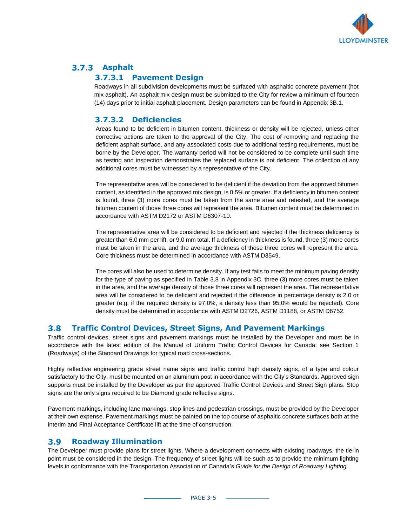

### **Asphalt**

### **3.7.3.1 Pavement Design**

Roadways in all subdivision developments must be surfaced with asphaltic concrete pavement (hot mix asphalt). An asphalt mix design must be submitted to the City for review a minimum of fourteen (14) days prior to initial asphalt placement. Design parameters can be found in Appendix 3B.1.

### **3.7.3.2 Deficiencies**

Areas found to be deficient in bitumen content, thickness or density will be rejected, unless other corrective actions are taken to the approval of the City. The cost of removing and replacing the deficient asphalt surface, and any associated costs due to additional testing requirements, must be borne by the Developer. The warranty period will not be considered to be complete until such time as testing and inspection demonstrates the replaced surface is not deficient. The collection of any additional cores must be witnessed by a representative of the City.

The representative area will be considered to be deficient if the deviation from the approved bitumen content, as identified in the approved mix design, is 0.5% or greater. If a deficiency in bitumen content is found, three (3) more cores must be taken from the same area and retested, and the average bitumen content of those three cores will represent the area. Bitumen content must be determined in accordance with ASTM D2172 or ASTM D6307-10.

The representative area will be considered to be deficient and rejected if the thickness deficiency is greater than 6.0 mm per lift, or 9.0 mm total. If a deficiency in thickness is found, three (3) more cores must be taken in the area, and the average thickness of those three cores will represent the area. Core thickness must be determined in accordance with ASTM D3549.

The cores will also be used to determine density. If any test fails to meet the minimum paving density for the type of paving as specified in Table 3.8 in Appendix 3C, three (3) more cores must be taken in the area, and the average density of those three cores will represent the area. The representative area will be considered to be deficient and rejected if the difference in percentage density is 2.0 or greater (e.g. if the required density is 97.0%, a density less than 95.0% would be rejected). Core density must be determined in accordance with ASTM D2726, ASTM D1188, or ASTM D6752.

#### $3.8<sub>1</sub>$ **Traffic Control Devices, Street Signs, And Pavement Markings**

Traffic control devices, street signs and pavement markings must be installed by the Developer and must be in accordance with the latest edition of the Manual of Uniform Traffic Control Devices for Canada; see Section 1 (Roadways) of the Standard Drawings for typical road cross-sections.

Highly reflective engineering grade street name signs and traffic control high density signs, of a type and colour satisfactory to the City, must be mounted on an aluminum post in accordance with the City's Standards. Approved sign supports must be installed by the Developer as per the approved Traffic Control Devices and Street Sign plans. Stop signs are the only signs required to be Diamond grade reflective signs.

Pavement markings, including lane markings, stop lines and pedestrian crossings, must be provided by the Developer at their own expense. Pavement markings must be painted on the top course of asphaltic concrete surfaces both at the interim and Final Acceptance Certificate lift at the time of construction.

#### $3.9$ **Roadway Illumination**

The Developer must provide plans for street lights. Where a development connects with existing roadways, the tie-in point must be considered in the design. The frequency of street lights will be such as to provide the minimum lighting levels in conformance with the Transportation Association of Canada's *Guide for the Design of Roadway Lighting*.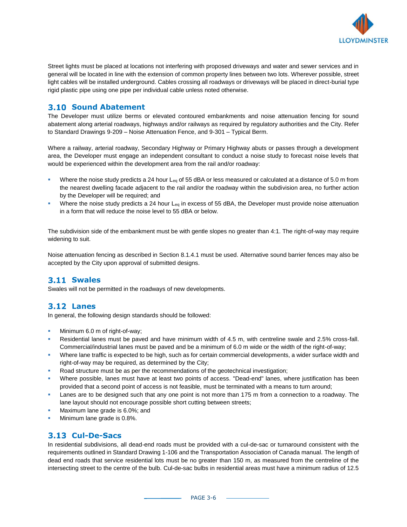

Street lights must be placed at locations not interfering with proposed driveways and water and sewer services and in general will be located in line with the extension of common property lines between two lots. Wherever possible, street light cables will be installed underground. Cables crossing all roadways or driveways will be placed in direct-burial type rigid plastic pipe using one pipe per individual cable unless noted otherwise.

### **3.10 Sound Abatement**

The Developer must utilize berms or elevated contoured embankments and noise attenuation fencing for sound abatement along arterial roadways, highways and/or railways as required by regulatory authorities and the City. Refer to Standard Drawings 9-209 – Noise Attenuation Fence, and 9-301 – Typical Berm.

Where a railway, arterial roadway, Secondary Highway or Primary Highway abuts or passes through a development area, the Developer must engage an independent consultant to conduct a noise study to forecast noise levels that would be experienced within the development area from the rail and/or roadway:

- Where the noise study predicts a 24 hour L<sub>eq</sub> of 55 dBA or less measured or calculated at a distance of 5.0 m from the nearest dwelling facade adjacent to the rail and/or the roadway within the subdivision area, no further action by the Developer will be required; and
- Where the noise study predicts a 24 hour  $L_{eq}$  in excess of 55 dBA, the Developer must provide noise attenuation in a form that will reduce the noise level to 55 dBA or below.

The subdivision side of the embankment must be with gentle slopes no greater than 4:1. The right-of-way may require widening to suit.

Noise attenuation fencing as described in Section 8.1.4.1 must be used. Alternative sound barrier fences may also be accepted by the City upon approval of submitted designs.

### **Swales**

Swales will not be permitted in the roadways of new developments.

#### **Lanes**

In general, the following design standards should be followed:

- Minimum 6.0 m of right-of-way;
- Residential lanes must be paved and have minimum width of 4.5 m, with centreline swale and 2.5% cross-fall. Commercial/industrial lanes must be paved and be a minimum of 6.0 m wide or the width of the right-of-way;
- Where lane traffic is expected to be high, such as for certain commercial developments, a wider surface width and right-of-way may be required, as determined by the City;
- Road structure must be as per the recommendations of the geotechnical investigation;
- Where possible, lanes must have at least two points of access. "Dead-end" lanes, where justification has been provided that a second point of access is not feasible, must be terminated with a means to turn around;
- Lanes are to be designed such that any one point is not more than 175 m from a connection to a roadway. The lane layout should not encourage possible short cutting between streets;
- Maximum lane grade is 6.0%; and
- Minimum lane grade is 0.8%.

### **Cul-De-Sacs**

In residential subdivisions, all dead-end roads must be provided with a cul-de-sac or turnaround consistent with the requirements outlined in Standard Drawing 1-106 and the Transportation Association of Canada manual. The length of dead end roads that service residential lots must be no greater than 150 m, as measured from the centreline of the intersecting street to the centre of the bulb. Cul-de-sac bulbs in residential areas must have a minimum radius of 12.5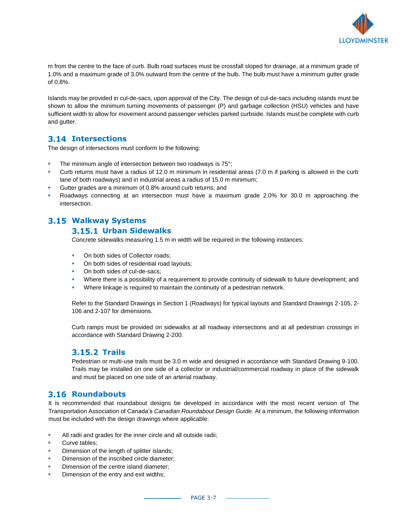

m from the centre to the face of curb. Bulb road surfaces must be crossfall sloped for drainage, at a minimum grade of 1.0% and a maximum grade of 3.0% outward from the centre of the bulb. The bulb must have a minimum gutter grade of 0.8%.

Islands may be provided in cul-de-sacs, upon approval of the City. The design of cul-de-sacs including islands must be shown to allow the minimum turning movements of passenger (P) and garbage collection (HSU) vehicles and have sufficient width to allow for movement around passenger vehicles parked curbside. Islands must be complete with curb and gutter.

### **Intersections**

The design of intersections must conform to the following:

- The minimum angle of intersection between two roadways is 75°;
- Curb returns must have a radius of 12.0 m minimum in residential areas (7.0 m if parking is allowed in the curb lane of both roadways) and in industrial areas a radius of 15.0 m minimum;
- Gutter grades are a minimum of 0.8% around curb returns; and
- Roadways connecting at an intersection must have a maximum grade 2.0% for 30.0 m approaching the intersection.

### **Walkway Systems**

#### **Urban Sidewalks**

Concrete sidewalks measuring 1.5 m in width will be required in the following instances:

- On both sides of Collector roads;
- On both sides of residential road layouts;
- On both sides of cul-de-sacs;
- Where there is a possibility of a requirement to provide continuity of sidewalk to future development; and
- **■** Where linkage is required to maintain the continuity of a pedestrian network.

Refer to the Standard Drawings in Section 1 (Roadways) for typical layouts and Standard Drawings 2-105, 2- 106 and 2-107 for dimensions.

Curb ramps must be provided on sidewalks at all roadway intersections and at all pedestrian crossings in accordance with Standard Drawing 2-200.

#### **3.15.2 Trails**

Pedestrian or multi-use trails must be 3.0 m wide and designed in accordance with Standard Drawing 9-100. Trails may be installed on one side of a collector or industrial/commercial roadway in place of the sidewalk and must be placed on one side of an arterial roadway.

#### **3.16 Roundabouts**

It is recommended that roundabout designs be developed in accordance with the most recent version of The Transportation Association of Canada's *Canadian Roundabout Design Guide*. At a minimum, the following information must be included with the design drawings where applicable:

- All radii and grades for the inner circle and all outside radii;
- Curve tables;
- Dimension of the length of splitter islands;
- Dimension of the inscribed circle diameter;
- Dimension of the centre island diameter;
- Dimension of the entry and exit widths;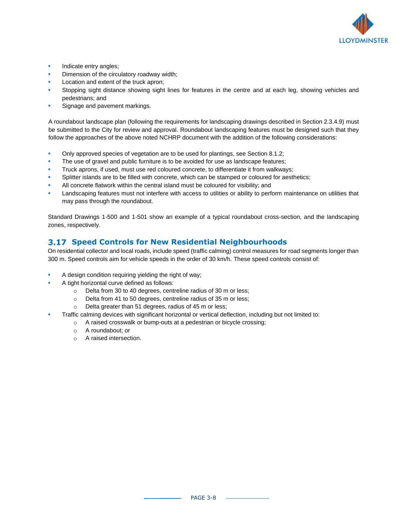

- **·** Indicate entry angles;
- Dimension of the circulatory roadway width;
- Location and extent of the truck apron;
- Stopping sight distance showing sight lines for features in the centre and at each leg, showing vehicles and pedestrians; and
- Signage and pavement markings.

A roundabout landscape plan (following the requirements for landscaping drawings described in Section 2.3.4.9) must be submitted to the City for review and approval. Roundabout landscaping features must be designed such that they follow the approaches of the above noted NCHRP document with the addition of the following considerations:

- Only approved species of vegetation are to be used for plantings, see Section 8.1.2;
- The use of gravel and public furniture is to be avoided for use as landscape features;
- Truck aprons, if used, must use red coloured concrete, to differentiate it from walkways;
- Splitter islands are to be filled with concrete, which can be stamped or coloured for aesthetics;
- All concrete flatwork within the central island must be coloured for visibility; and
- Landscaping features must not interfere with access to utilities or ability to perform maintenance on utilities that may pass through the roundabout.

Standard Drawings 1-500 and 1-501 show an example of a typical roundabout cross-section, and the landscaping zones, respectively.

### **Speed Controls for New Residential Neighbourhoods**

On residential collector and local roads, include speed (traffic calming) control measures for road segments longer than 300 m. Speed controls aim for vehicle speeds in the order of 30 km/h. These speed controls consist of:

- A design condition requiring yielding the right of way;
- A tight horizontal curve defined as follows:
	- o Delta from 30 to 40 degrees, centreline radius of 30 m or less;
	- o Delta from 41 to 50 degrees, centreline radius of 35 m or less;
	- o Delta greater than 51 degrees, radius of 45 m or less;
- Traffic calming devices with significant horizontal or vertical deflection, including but not limited to:
	- o A raised crosswalk or bump-outs at a pedestrian or bicycle crossing;
		- o A roundabout; or
		- o A raised intersection.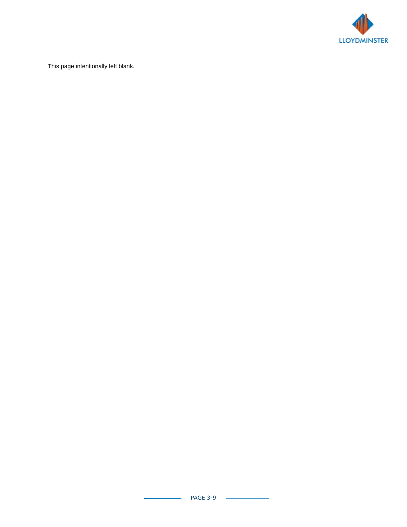

This page intentionally left blank.

i.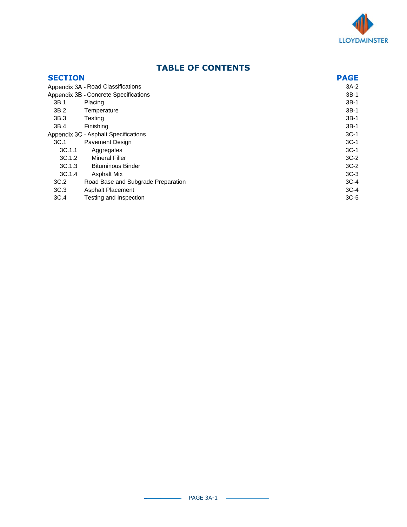

| <b>SECTION</b> |                                       | <b>PAGE</b> |
|----------------|---------------------------------------|-------------|
|                | Appendix 3A - Road Classifications    | $3A-2$      |
|                | Appendix 3B - Concrete Specifications | $3B-1$      |
| 3B.1           | Placing                               | $3B-1$      |
| 3B.2           | Temperature                           | $3B-1$      |
| 3B.3           | Testing                               | $3B-1$      |
| 3B.4           | Finishing                             | $3B-1$      |
|                | Appendix 3C - Asphalt Specifications  | $3C-1$      |
| 3C.1           | <b>Pavement Design</b>                | $3C-1$      |
| 3C.1.1         | Aggregates                            | $3C-1$      |
| 3C.1.2         | <b>Mineral Filler</b>                 | $3C-2$      |
| 3C.1.3         | <b>Bituminous Binder</b>              | $3C-2$      |
| 3C.1.4         | <b>Asphalt Mix</b>                    | $3C-3$      |
| 3C.2           | Road Base and Subgrade Preparation    | $3C-4$      |
| 3C.3           | <b>Asphalt Placement</b>              | $3C-4$      |
| 3C.4           | Testing and Inspection                | $3C-5$      |

### **TABLE OF CONTENTS**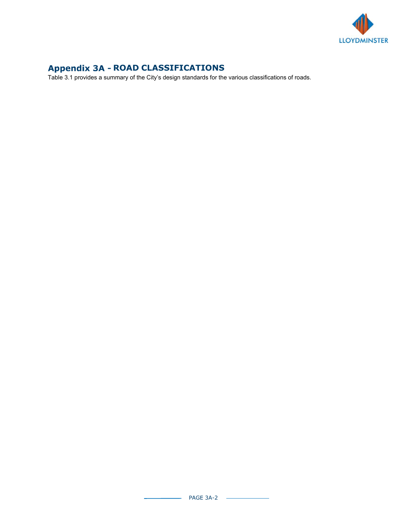

### **Appendix 3A - ROAD CLASSIFICATIONS**

Table 3.1 provides a summary of the City's design standards for the various classifications of roads.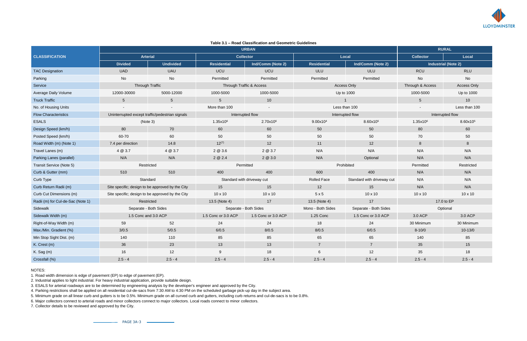#### **Table 3.1 – Road Classification and Geometric Guidelines**

|                                   | <b>URBAN</b>                                    |                                                  |                            |                       |                      |                            |                      | <b>RURAL</b>               |  |
|-----------------------------------|-------------------------------------------------|--------------------------------------------------|----------------------------|-----------------------|----------------------|----------------------------|----------------------|----------------------------|--|
| <b>CLASSIFICATION</b>             | <b>Arterial</b>                                 |                                                  |                            | <b>Collector</b>      |                      | Local                      | <b>Collector</b>     | Local                      |  |
|                                   | <b>Divided</b>                                  | <b>Undivided</b>                                 | <b>Residential</b>         | Ind/Comm (Note 2)     | <b>Residential</b>   | Ind/Comm (Note 2)          |                      | <b>Industrial (Note 2)</b> |  |
| <b>TAC Designation</b>            | <b>UAD</b>                                      | <b>UAU</b>                                       | <b>UCU</b>                 | <b>UCU</b>            | <b>ULU</b>           | ULU                        | RCU                  | <b>RLU</b>                 |  |
| Parking                           | No                                              | No                                               | Permitted                  | Permitted             | Permitted            | Permitted                  | <b>No</b>            | No                         |  |
| Service                           | <b>Through Traffic</b>                          |                                                  | Through Traffic & Access   |                       |                      | <b>Access Only</b>         | Through & Access     | <b>Access Only</b>         |  |
| Average Daily Volume              | 12000-30000                                     | 5000-12000                                       | 1000-5000                  | 1000-5000             |                      | Up to 1000                 | 1000-5000            | Up to 1000                 |  |
| <b>Truck Traffic</b>              | $5\overline{)}$                                 | $5\overline{)}$                                  | $5\phantom{.0}$            | 10                    |                      | $\mathbf{1}$               | $\sqrt{5}$           | 10                         |  |
| No. of Housing Units              |                                                 |                                                  | More than 100              | $\sim$                |                      | Less than 100              | $\sim$               | Less than 100              |  |
| <b>Flow Characteristics</b>       | Uninterrupted except traffic/pedestrian signals |                                                  | Interrupted flow           |                       |                      | Interrupted flow           |                      | Interrupted flow           |  |
| <b>ESALS</b>                      | (Note 3)                                        |                                                  | $1.35x10^{6}$              | 2.70x10 <sup>6</sup>  | 9.00x10 <sup>4</sup> | 8.60x10 <sup>5</sup>       | 1.35x10 <sup>6</sup> | 8.60x10 <sup>5</sup>       |  |
| Design Speed (km/h)               | 80                                              | 70                                               | 60                         | 60                    | 50                   | 50                         | 80                   | 60                         |  |
| Posted Speed (km/h)               | 60-70                                           | 60                                               | 50                         | 50                    | 50                   | 50                         | 70                   | 50                         |  |
| Road Width (m) (Note 1)           | 7.4 per direction                               | 14.8                                             | $12^{(7)}$                 | 12                    | 11                   | 12                         | 8                    | 8                          |  |
| Travel Lanes (m)                  | 4 @ 3.7                                         | 4 @ 3.7                                          | 2 @ 3.6                    | 2 @ 3.7               | N/A                  | N/A                        | N/A                  | N/A                        |  |
| Parking Lanes (parallel)          | N/A                                             | N/A                                              | 2 @ 2.4                    | 2@3.0                 | N/A                  | Optional                   | N/A                  | N/A                        |  |
| Transit Service (Note 5)          |                                                 | Restricted                                       | Permitted                  |                       | Prohibited           |                            | Permitted            | Restricted                 |  |
| Curb & Gutter (mm)                | 510                                             | 510                                              | 400                        | 400                   | 600                  | 400                        | N/A                  | N/A                        |  |
| Curb Type                         | Standard                                        |                                                  | Standard with driveway cut |                       | <b>Rolled Face</b>   | Standard with driveway cut | N/A                  | N/A                        |  |
| Curb Return Radii (m)             |                                                 | Site specific; design to be approved by the City | 15                         | 15                    | 12                   | 15                         | N/A                  | N/A                        |  |
| Curb Cut Dimensions (m)           |                                                 | Site specific; design to be approved by the City | $10 \times 10$             | $10 \times 10$        | $5 \times 5$         | $10 \times 10$             | $10 \times 10$       | 10 x 10                    |  |
| Radii (m) for Cul-de-Sac (Note 1) | Restricted                                      |                                                  | 13.5 (Note 4)              | 17                    | 13.5 (Note 4)        | 17                         |                      | 17.0 to EP                 |  |
| Sidewalk                          |                                                 | Separate - Both Sides                            |                            | Separate - Both Sides | Mono - Both Sides    | Separate - Both Sides      |                      | Optional                   |  |
| Sidewalk Width (m)                | 1.5 Conc and 3.0 ACP                            |                                                  | 1.5 Conc or 3.0 ACP        | 1.5 Conc or 3.0 ACP   | 1.25 Conc            | 1.5 Conc or 3.0 ACP        | 3.0 ACP              | 3.0 ACP                    |  |
| Right-of-Way Width (m)            | 59                                              | 52                                               | 24                         | 24                    | 18                   | 24                         | 30 Minimum           | 30 Minimum                 |  |
| Max./Min. Gradient (%)            | 3/0.5                                           | 5/0.5                                            | 6/0.5                      | 8/0.5                 | 8/0.5                | 6/0.5                      | $8 - 10/0$           | 10-13/0                    |  |
| Min Stop Sight Dist. (m)          | 140                                             | 110                                              | 85                         | 85                    | 65                   | 65                         | 140                  | 85                         |  |
| K. Crest (m)                      | 36                                              | 23                                               | 13                         | 13                    | $\overline{7}$       | $\overline{7}$             | 35                   | 15                         |  |
| $K.$ Sag $(m)$                    | 16                                              | 12                                               | 9                          | 18                    | 6                    | 12                         | 35                   | 18                         |  |
| Crossfall (%)                     | $2.5 - 4$                                       | $2.5 - 4$                                        | $2.5 - 4$                  | $2.5 - 4$             | $2.5 - 4$            | $2.5 - 4$                  | $2.5 - 4$            | $2.5 - 4$                  |  |

NOTES:

1. Road width dimension is edge of pavement (EP) to edge of pavement (EP).

2. Industrial applies to light industrial. For heavy industrial application, provide suitable design.

3. ESALS for arterial roadways are to be determined by engineering analysis by the developer's engineer and approved by the City.

4. Parking restrictions shall be applied on all residential cul-de-sacs from 7:30 AM to 4:30 PM on the scheduled garbage pick-up day in the subject area.

5. Minimum grade on all linear curb and gutters is to be 0.5%. Minimum grade on all curved curb and gutters, including curb returns and cul-de-sacs is to be 0.8%.

6. Major collectors connect to arterial roads and minor collectors connect to major collectors. Local roads connect to minor collectors.

7. Collector details to be reviewed and approved by the City.

PAGE 3A-3

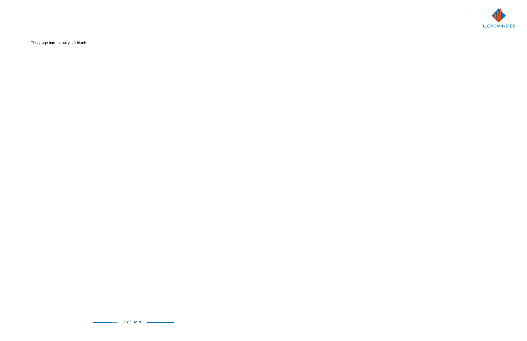This page intentionally left blank.

PAGE 3A-4

 $\sim$ 

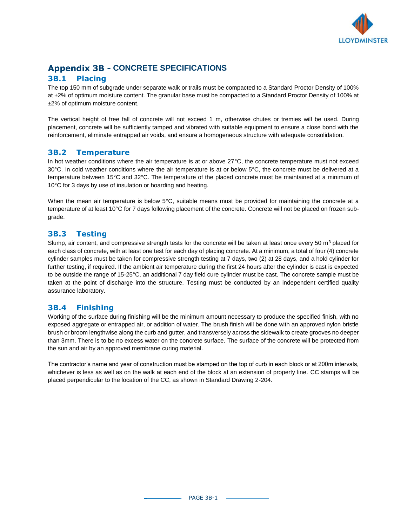

### **Appendix 3B - CONCRETE SPECIFICATIONS**

### **3B.1 Placing**

The top 150 mm of subgrade under separate walk or trails must be compacted to a Standard Proctor Density of 100% at ±2% of optimum moisture content. The granular base must be compacted to a Standard Proctor Density of 100% at ±2% of optimum moisture content.

The vertical height of free fall of concrete will not exceed 1 m, otherwise chutes or tremies will be used. During placement, concrete will be sufficiently tamped and vibrated with suitable equipment to ensure a close bond with the reinforcement, eliminate entrapped air voids, and ensure a homogeneous structure with adequate consolidation.

### **3B.2 Temperature**

In hot weather conditions where the air temperature is at or above 27°C, the concrete temperature must not exceed 30°C. In cold weather conditions where the air temperature is at or below 5°C, the concrete must be delivered at a temperature between 15°C and 32°C. The temperature of the placed concrete must be maintained at a minimum of 10°C for 3 days by use of insulation or hoarding and heating.

When the mean air temperature is below 5°C, suitable means must be provided for maintaining the concrete at a temperature of at least 10°C for 7 days following placement of the concrete. Concrete will not be placed on frozen subgrade.

### **3B.3 Testing**

Slump, air content, and compressive strength tests for the concrete will be taken at least once every 50  $m<sup>3</sup>$  placed for each class of concrete, with at least one test for each day of placing concrete. At a minimum, a total of four (4) concrete cylinder samples must be taken for compressive strength testing at 7 days, two (2) at 28 days, and a hold cylinder for further testing, if required. If the ambient air temperature during the first 24 hours after the cylinder is cast is expected to be outside the range of 15-25°C, an additional 7 day field cure cylinder must be cast. The concrete sample must be taken at the point of discharge into the structure. Testing must be conducted by an independent certified quality assurance laboratory.

### **3B.4 Finishing**

Working of the surface during finishing will be the minimum amount necessary to produce the specified finish, with no exposed aggregate or entrapped air, or addition of water. The brush finish will be done with an approved nylon bristle brush or broom lengthwise along the curb and gutter, and transversely across the sidewalk to create grooves no deeper than 3mm. There is to be no excess water on the concrete surface. The surface of the concrete will be protected from the sun and air by an approved membrane curing material.

The contractor's name and year of construction must be stamped on the top of curb in each block or at 200m intervals, whichever is less as well as on the walk at each end of the block at an extension of property line. CC stamps will be placed perpendicular to the location of the CC, as shown in Standard Drawing 2-204.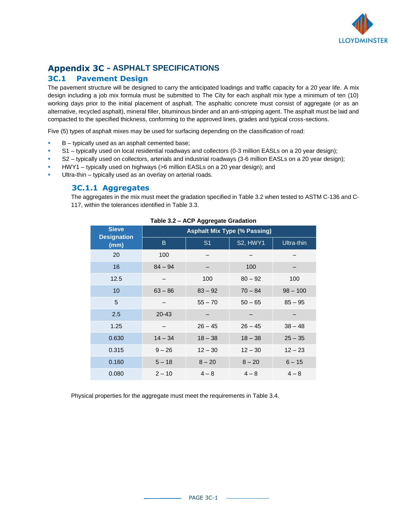

### **Appendix 3C - ASPHALT SPECIFICATIONS**

### **3C.1 Pavement Design**

The pavement structure will be designed to carry the anticipated loadings and traffic capacity for a 20 year life. A mix design including a job mix formula must be submitted to The City for each asphalt mix type a minimum of ten (10) working days prior to the initial placement of asphalt. The asphaltic concrete must consist of aggregate (or as an alternative, recycled asphalt), mineral filler, bituminous binder and an anti-stripping agent. The asphalt must be laid and compacted to the specified thickness, conforming to the approved lines, grades and typical cross-sections.

Five (5) types of asphalt mixes may be used for surfacing depending on the classification of road:

- B typically used as an asphalt cemented base;
- S1 typically used on local residential roadways and collectors (0-3 million EASLs on a 20 year design);
- S2 typically used on collectors, arterials and industrial roadways (3-6 million EASLs on a 20 year design);
- HWY1 typically used on highways (>6 million EASLs on a 20 year design); and
- Ultra-thin typically used as an overlay on arterial roads.

#### **3C.1.1 Aggregates**

The aggregates in the mix must meet the gradation specified in Table 3.2 when tested to ASTM C-136 and C-117, within the tolerances identified in Table 3.3.

| <b>Sieve</b><br><b>Designation</b> | <b>Asphalt Mix Type (% Passing)</b> |                |                 |            |  |  |  |
|------------------------------------|-------------------------------------|----------------|-----------------|------------|--|--|--|
| (mm)                               | B                                   | S <sub>1</sub> | <b>S2, HWY1</b> | Ultra-thin |  |  |  |
| 20                                 | 100                                 |                |                 |            |  |  |  |
| 16                                 | $84 - 94$                           |                | 100             |            |  |  |  |
| 12.5                               |                                     | 100            | $80 - 92$       | 100        |  |  |  |
| 10                                 | $63 - 86$                           | $83 - 92$      | $70 - 84$       | $98 - 100$ |  |  |  |
| 5                                  |                                     | $55 - 70$      | $50 - 65$       | $85 - 95$  |  |  |  |
| 2.5                                | 20-43                               |                |                 |            |  |  |  |
| 1.25                               |                                     | $26 - 45$      | $26 - 45$       | $38 - 48$  |  |  |  |
| 0.630                              | $14 - 34$                           | $18 - 38$      | $18 - 38$       | $25 - 35$  |  |  |  |
| 0.315                              | $9 - 26$                            | $12 - 30$      | $12 - 30$       | $12 - 23$  |  |  |  |
| 0.160                              | $5 - 18$                            | $8 - 20$       | $8 - 20$        | $6 - 15$   |  |  |  |
| 0.080                              | $2 - 10$                            | $4 - 8$        | $4 - 8$         | $4 - 8$    |  |  |  |

#### **Table 3.2 – ACP Aggregate Gradation**

Physical properties for the aggregate must meet the requirements in Table 3.4.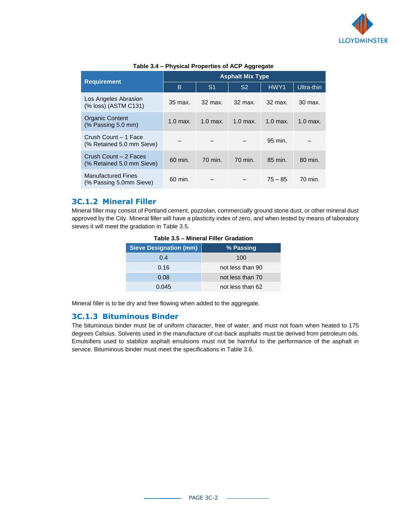

| <b>Requirement</b>                                   | <b>Asphalt Mix Type</b> |                  |                  |                  |            |  |  |
|------------------------------------------------------|-------------------------|------------------|------------------|------------------|------------|--|--|
|                                                      | B                       | S <sub>1</sub>   | S <sub>2</sub>   | HWY1             | Ultra-thin |  |  |
| Los Angeles Abrasion<br>(% loss) (ASTM C131)         | $35 \text{ max}$        | $32 \text{ max}$ | $32 \text{ max}$ | $32 \text{ max}$ | 30 max.    |  |  |
| <b>Organic Content</b><br>$%$ Passing 5.0 mm)        | $1.0$ max.              | $1.0$ max.       | $1.0$ max.       | $1.0$ max.       | $1.0$ max. |  |  |
| Crush Count - 1 Face<br>(% Retained 5.0 mm Sieve)    |                         |                  |                  | 95 min.          |            |  |  |
| Crush Count - 2 Faces<br>(% Retained 5.0 mm Sieve)   | 60 min.                 | $70$ min.        | $70$ min.        | 85 min.          | 80 min.    |  |  |
| <b>Manufactured Fines</b><br>(% Passing 5.0mm Sieve) | 60 min.                 |                  |                  | $75 - 85$        | 70 min.    |  |  |

#### **Table 3.4 – Physical Properties of ACP Aggregate**

#### **3C.1.2 Mineral Filler**

Mineral filler may consist of Portland cement, pozzolan, commercially ground stone dust, or other mineral dust approved by the City. Mineral filler will have a plasticity index of zero, and when tested by means of laboratory sieves it will meet the gradation in Table 3.5.

| <b>Sieve Designation (mm)</b> | % Passing        |
|-------------------------------|------------------|
| 0.4                           | 100              |
| 0.16                          | not less than 90 |
| 0.08                          | not less than 70 |
| 0.045                         | not less than 62 |

| Table 3.5 – Mineral Filler Gradation |  |  |  |
|--------------------------------------|--|--|--|
|--------------------------------------|--|--|--|

Mineral filler is to be dry and free flowing when added to the aggregate.

#### **3C.1.3 Bituminous Binder**

The bituminous binder must be of uniform character, free of water, and must not foam when heated to 175 degrees Celsius. Solvents used in the manufacture of cut-back asphalts must be derived from petroleum oils. Emulsifiers used to stabilize asphalt emulsions must not be harmful to the performance of the asphalt in service. Bituminous binder must meet the specifications in Table 3.6.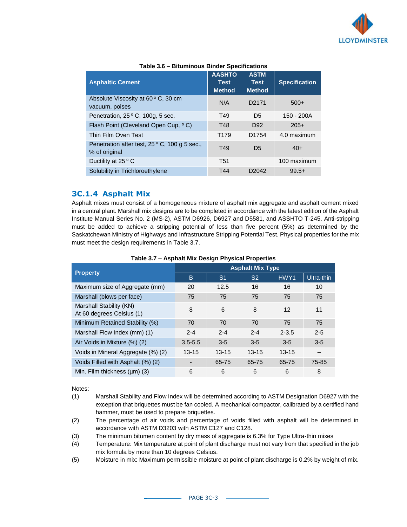

| <b>Asphaltic Cement</b>                                                | <b>AASHTO</b><br><b>Test</b><br><b>Method</b> | <b>ASTM</b><br><b>Test</b><br><b>Method</b> | <b>Specification</b> |
|------------------------------------------------------------------------|-----------------------------------------------|---------------------------------------------|----------------------|
| Absolute Viscosity at 60 °C, 30 cm<br>vacuum, poises                   | N/A                                           | D <sub>2171</sub>                           | $500+$               |
| Penetration, $25^\circ$ C, 100g, 5 sec.                                | T49                                           | D <sub>5</sub>                              | 150 - 200A           |
| Flash Point (Cleveland Open Cup, °C)                                   | T48                                           | D <sub>92</sub>                             | $205+$               |
| Thin Film Oven Test                                                    | T <sub>179</sub>                              | D <sub>1754</sub>                           | 4.0 maximum          |
| Penetration after test, $25^{\circ}$ C, 100 g 5 sec.,<br>% of original | T49                                           | D <sub>5</sub>                              | $40+$                |
| Ductility at 25° C                                                     | T <sub>51</sub>                               |                                             | 100 maximum          |
| Solubility in Trichloroethylene                                        | T44                                           | D <sub>2042</sub>                           | $99.5+$              |

#### **Table 3.6 – Bituminous Binder Specifications**

### **3C.1.4 Asphalt Mix**

Asphalt mixes must consist of a homogeneous mixture of asphalt mix aggregate and asphalt cement mixed in a central plant. Marshall mix designs are to be completed in accordance with the latest edition of the Asphalt Institute Manual Series No. 2 (MS-2), ASTM D6926, D6927 and D5581, and ASSHTO T-245. Anti-stripping must be added to achieve a stripping potential of less than five percent (5%) as determined by the Saskatchewan Ministry of Highways and Infrastructure Stripping Potential Test. Physical properties for the mix must meet the design requirements in Table 3.7.

| <b>Property</b>                                      | <b>Asphalt Mix Type</b> |                |                |           |            |  |
|------------------------------------------------------|-------------------------|----------------|----------------|-----------|------------|--|
|                                                      | B                       | S <sub>1</sub> | S <sub>2</sub> | HWY1      | Ultra-thin |  |
| Maximum size of Aggregate (mm)                       | 20                      | 12.5           | 16             | 16        | 10         |  |
| Marshall (blows per face)                            | 75                      | 75             | 75             | 75        | 75         |  |
| Marshall Stability (KN)<br>At 60 degrees Celsius (1) | 8                       | 6              | 8              | 12        | 11         |  |
| Minimum Retained Stability (%)                       | 70                      | 70             | 70             | 75        | 75         |  |
| Marshall Flow Index (mm) (1)                         | $2 - 4$                 | $2 - 4$        | $2 - 4$        | $2 - 3.5$ | $2 - 5$    |  |
| Air Voids in Mixture (%) (2)                         | $3.5 - 5.5$             | $3 - 5$        | $3 - 5$        | $3-5$     | $3 - 5$    |  |
| Voids in Mineral Aggregate (%) (2)                   | $13 - 15$               | $13 - 15$      | $13 - 15$      | $13 - 15$ |            |  |
| Voids Filled with Asphalt (%) (2)                    |                         | 65-75          | 65-75          | 65-75     | 75-85      |  |
| Min. Film thickness $(\mu m)$ (3)                    | 6                       | 6              | 6              | 6         | 8          |  |

#### **Table 3.7 – Asphalt Mix Design Physical Properties**

Notes:

- (1) Marshall Stability and Flow Index will be determined according to ASTM Designation D6927 with the exception that briquettes must be fan cooled. A mechanical compactor, calibrated by a certified hand hammer, must be used to prepare briquettes.
- (2) The percentage of air voids and percentage of voids filled with asphalt will be determined in accordance with ASTM D3203 with ASTM C127 and C128.
- (3) The minimum bitumen content by dry mass of aggregate is 6.3% for Type Ultra-thin mixes
- (4) Temperature: Mix temperature at point of plant discharge must not vary from that specified in the job mix formula by more than 10 degrees Celsius.
- (5) Moisture in mix: Maximum permissible moisture at point of plant discharge is 0.2% by weight of mix.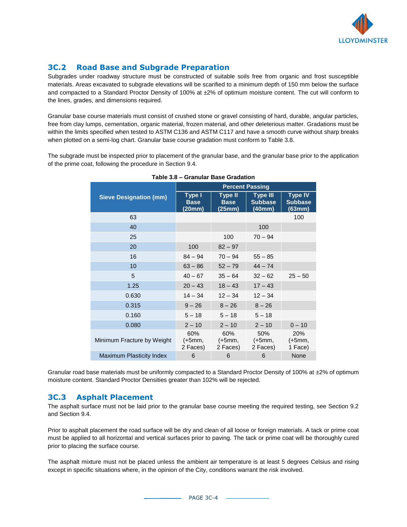

### **3C.2 Road Base and Subgrade Preparation**

Subgrades under roadway structure must be constructed of suitable soils free from organic and frost susceptible materials. Areas excavated to subgrade elevations will be scarified to a minimum depth of 150 mm below the surface and compacted to a Standard Proctor Density of 100% at ±2% of optimum moisture content. The cut will conform to the lines, grades, and dimensions required.

Granular base course materials must consist of crushed stone or gravel consisting of hard, durable, angular particles, free from clay lumps, cementation, organic material, frozen material, and other deleterious matter. Gradations must be within the limits specified when tested to ASTM C136 and ASTM C117 and have a smooth curve without sharp breaks when plotted on a semi-log chart. Granular base course gradation must conform to Table 3.8.

The subgrade must be inspected prior to placement of the granular base, and the granular base prior to the application of the prime coat, following the procedure in Section 9.4.

|                               | <b>Percent Passing</b>          |                                         |                                             |                                            |  |  |
|-------------------------------|---------------------------------|-----------------------------------------|---------------------------------------------|--------------------------------------------|--|--|
| <b>Sieve Designation (mm)</b> | Type I<br><b>Base</b><br>(20mm) | <b>Type II</b><br><b>Base</b><br>(25mm) | <b>Type III</b><br><b>Subbase</b><br>(40mm) | <b>Type IV</b><br><b>Subbase</b><br>(63mm) |  |  |
| 63                            |                                 |                                         |                                             | 100                                        |  |  |
| 40                            |                                 |                                         | 100                                         |                                            |  |  |
| 25                            |                                 | 100                                     | $70 - 94$                                   |                                            |  |  |
| 20                            | 100                             | $82 - 97$                               |                                             |                                            |  |  |
| 16                            | $84 - 94$                       | $70 - 94$                               | $55 - 85$                                   |                                            |  |  |
| 10                            | $63 - 86$                       | $52 - 79$                               | $44 - 74$                                   |                                            |  |  |
| 5                             | $40 - 67$                       | $35 - 64$                               | $32 - 62$                                   | $25 - 50$                                  |  |  |
| 1.25                          | $20 - 43$                       | $18 - 43$                               | $17 - 43$                                   |                                            |  |  |
| 0.630                         | $14 - 34$                       | $12 - 34$                               | $12 - 34$                                   |                                            |  |  |
| 0.315                         | $9 - 26$                        | $8 - 26$                                | $8 - 26$                                    |                                            |  |  |
| 0.160                         | $5 - 18$                        | $5 - 18$                                | $5 - 18$                                    |                                            |  |  |
| 0.080                         | $2 - 10$                        | $2 - 10$                                | $2 - 10$                                    | $0 - 10$                                   |  |  |
| Minimum Fracture by Weight    | 60%<br>(+5mm,<br>2 Faces)       | 60%<br>$(+5mm,$<br>2 Faces)             | 50%<br>$(+5mm,$<br>2 Faces)                 | <b>20%</b><br>$(+5mm,$<br>1 Face)          |  |  |
| Maximum Plasticity Index      | 6                               | 6                                       | 6                                           | None                                       |  |  |

| Table 3.8 - Granular Base Gradation |  |
|-------------------------------------|--|
|-------------------------------------|--|

Granular road base materials must be uniformly compacted to a Standard Proctor Density of 100% at ±2% of optimum moisture content. Standard Proctor Densities greater than 102% will be rejected.

#### **3C.3 Asphalt Placement**

The asphalt surface must not be laid prior to the granular base course meeting the required testing, see Section 9.2 and Section 9.4.

Prior to asphalt placement the road surface will be dry and clean of all loose or foreign materials. A tack or prime coat must be applied to all horizontal and vertical surfaces prior to paving. The tack or prime coat will be thoroughly cured prior to placing the surface course.

The asphalt mixture must not be placed unless the ambient air temperature is at least 5 degrees Celsius and rising except in specific situations where, in the opinion of the City, conditions warrant the risk involved.